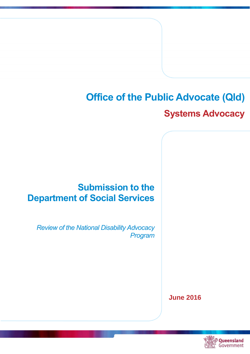# **Office of the Public Advocate (Qld) Systems Advocacy**

# **Submission to the Department of Social Services**

*Review of the National Disability Advocacy Program*

**June 2016**

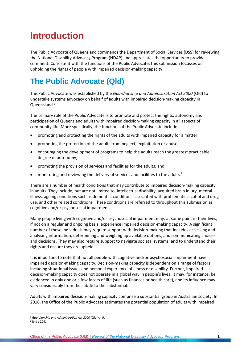# **Introduction**

The Public Advocate of Queensland commends the Department of Social Services (DSS) for reviewing the National Disability Advocacy Program (NDAP) and appreciates the opportunity to provide comment. Consistent with the functions of the Public Advocate, this submission focusses on upholding the rights of people with impaired decision-making capacity.

# **The Public Advocate (Qld)**

The Public Advocate was established by the *Guardianship and Administration Act 2000* (Qld) to undertake systems advocacy on behalf of adults with impaired decision-making capacity in Queensland.<sup>1</sup>

The primary role of the Public Advocate is to promote and protect the rights, autonomy and participation of Queensland adults with impaired decision-making capacity in all aspects of community life. More specifically, the functions of the Public Advocate include:

- promoting and protecting the rights of the adults with impaired capacity for a matter;
- promoting the protection of the adults from neglect, exploitation or abuse;
- encouraging the development of programs to help the adults reach the greatest practicable degree of autonomy;
- promoting the provision of services and facilities for the adults; and
- monitoring and reviewing the delivery of services and facilities to the adults.<sup>2</sup>

There are a number of health conditions that may contribute to impaired decision-making capacity in adults. They include, but are not limited to, intellectual disability, acquired brain injury, mental illness, ageing conditions such as dementia, conditions associated with problematic alcohol and drug use, and other related conditions. These conditions are referred to throughout this submission as cognitive and/or psychosocial impairment.

Many people living with cognitive and/or psychosocial impairment may, at some point in their lives, if not on a regular and ongoing basis, experience impaired decision-making capacity. A significant number of these individuals may require support with decision-making that includes accessing and analysing information, determining and weighing up available options, and communicating choices and decisions. They may also require support to navigate societal systems, and to understand their rights and ensure they are upheld.

It is important to note that not all people with cognitive and/or psychosocial impairment have impaired decision-making capacity. Decision-making capacity is dependent on a range of factors including situational issues and personal experience of illness or disability. Further, impaired decision-making capacity does not operate in a global way in people's lives. It may, for instance, be evidenced in only one or a few facets of life (such as finances or health care), and its influence may vary considerably from the subtle to the substantial.

Adults with impaired decision-making capacity comprise a substantial group in Australian society. In 2016, the Office of the Public Advocate estimates the potential population of adults with impaired

1

<sup>1</sup> *Guardianship and Administration Act 2000* (Qld) ch 9.

<sup>2</sup> Ibid s 209.

Office of the Public Advocate (Qld) **|** *Review of the National Disability Advocacy Program* **1**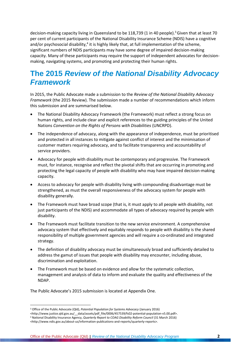decision-making capacity living in Queensland to be 118,739 (1 in 40 people).<sup>3</sup> Given that at least 70 per cent of current participants of the National Disability Insurance Scheme (NDIS) have a cognitive and/or psychosocial disability,<sup>4</sup> it is highly likely that, at full implementation of the scheme, significant numbers of NDIS participants may have some degree of impaired decision-making capacity. Many of these participants may require the support of independent advocates for decisionmaking, navigating systems, and promoting and protecting their human rights.

# **The 2015** *Review of the National Disability Advocacy Framework*

In 2015, the Public Advocate made a submission to the *Review of the National Disability Advocacy Framework* (the 2015 Review). The submission made a number of recommendations which inform this submission and are summarised below.

- The National Disability Advocacy Framework (the Framework) must reflect a strong focus on human rights, and include clear and explicit references to the guiding principles of the United Nations *Convention on the Rights of Persons with Disabilities* (UNCRPD).
- The independence of advocacy, along with the appearance of independence, must be prioritised and protected in all instances to mitigate against conflict of interest and the minimisation of customer matters requiring advocacy, and to facilitate transparency and accountability of service providers.
- Advocacy for people with disability must be contemporary and progressive. The Framework must, for instance, recognise and reflect the pivotal shifts that are occurring in promoting and protecting the legal capacity of people with disability who may have impaired decision-making capacity.
- Access to advocacy for people with disability living with compounding disadvantage must be strengthened, as must the overall responsiveness of the advocacy system for people with disability generally.
- The Framework must have broad scope (that is, it must apply to all people with disability, not just participants of the NDIS) and accommodate all types of advocacy required by people with disability.
- The Framework must facilitate transition to the new service environment. A comprehensive advocacy system that effectively and equitably responds to people with disability is the shared responsibility of multiple government agencies and will require a co-ordinated and integrated strategy.
- The definition of disability advocacy must be simultaneously broad and sufficiently detailed to address the gamut of issues that people with disability may encounter, including abuse, discrimination and exploitation.
- The Framework must be based on evidence and allow for the systematic collection, management and analysis of data to inform and evaluate the quality and effectiveness of the NDAP.

The Public Advocate's 2015 submission is located at Appendix One.

<sup>3</sup> Office of the Public Advocate (Qld), *Potential Population for Systems Advocacy* (January 2016)

<sup>&</sup>lt;http://www.justice.qld.gov.au/\_data/assets/pdf\_file/0006/457539/fs02-potential-population-v5.00.pdf>.

<sup>4</sup> National Disability Insurance Agency, *Quarterly Report to COAG Disability Reform Council* (31 March 2016)

<sup>&</sup>lt;http://www.ndis.gov.au/about-us/information-publications-and-reports/quarterly-reports>.

Office of the Public Advocate (Qld) **|** *Review of the National Disability Advocacy Program* **2**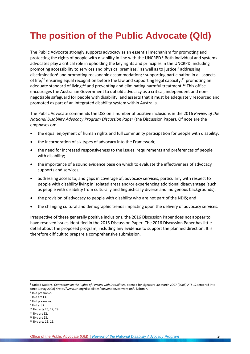# **The position of the Public Advocate (Qld)**

The Public Advocate strongly supports advocacy as an essential mechanism for promoting and protecting the rights of people with disability in line with the UNCRPD. <sup>5</sup> Both individual and systems advocates play a critical role in upholding the key rights and principles in the UNCRPD, including promoting accessibility to services and physical premises, $6$  as well as to justice;<sup>7</sup> addressing discrimination<sup>8</sup> and promoting reasonable accommodation; <sup>9</sup> supporting participation in all aspects of life;<sup>10</sup> ensuring equal recognition before the law and supporting legal capacity;<sup>11</sup> promoting an adequate standard of living;<sup>12</sup> and preventing and eliminating harmful treatment.<sup>13</sup> This office encourages the Australian Government to uphold advocacy as a critical, independent and nonnegotiable safeguard for people with disability, and asserts that it must be adequately resourced and promoted as part of an integrated disability system within Australia.

The Public Advocate commends the DSS on a number of positive inclusions in the 2016 *Review of the National Disability Advocacy Program Discussion Paper* (the Discussion Paper). Of note are the emphases on:

- the equal enjoyment of human rights and full community participation for people with disability;
- the incorporation of six types of advocacy into the Framework;
- the need for increased responsiveness to the issues, requirements and preferences of people with disability;
- the importance of a sound evidence base on which to evaluate the effectiveness of advocacy supports and services;
- addressing access to, and gaps in coverage of, advocacy services, particularly with respect to people with disability living in isolated areas and/or experiencing additional disadvantage (such as people with disability from culturally and linguistically diverse and indigenous backgrounds);
- the provision of advocacy to people with disability who are not part of the NDIS; and
- the changing cultural and demographic trends impacting upon the delivery of advocacy services.

Irrespective of these generally positive inclusions, the 2016 Discussion Paper does not appear to have resolved issues identified in the 2015 Discussion Paper. The 2016 Discussion Paper has little detail about the proposed program, including any evidence to support the planned direction. It is therefore difficult to prepare a comprehensive submission.

<sup>5</sup> United Nations, *Convention on the Rights of Persons with Disabilities*, opened for signature 30 March 2007 [2008] ATS 12 (entered into force 3 May 2008) <http://www.un.org/disabilities/convention/conventionfull.shtml>.

- <sup>10</sup> Ibid arts 25, 27, 29.  $11$  Ibid art 12.
- $12$  Ibid art 28.

<sup>6</sup> Ibid preamble.

 $<sup>7</sup>$  Ibid art 13.</sup>

<sup>8</sup> Ibid preamble.

<sup>9</sup> Ibid art 2.

<sup>13</sup> Ibid arts 15, 16.

Office of the Public Advocate (Qld) **|** *Review of the National Disability Advocacy Program* **3**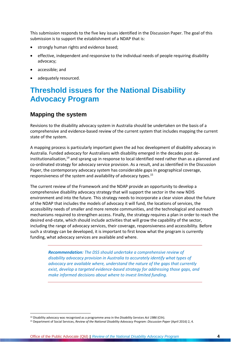This submission responds to the five key issues identified in the Discussion Paper. The goal of this submission is to support the establishment of a NDAP that is:

- strongly human rights and evidence based;
- effective, independent and responsive to the individual needs of people requiring disability advocacy;
- accessible; and

1

adequately resourced.

## **Threshold issues for the National Disability Advocacy Program**

#### **Mapping the system**

Revisions to the disability advocacy system in Australia should be undertaken on the basis of a comprehensive and evidence-based review of the current system that includes mapping the current state of the system.

A mapping process is particularly important given the ad hoc development of disability advocacy in Australia. Funded advocacy for Australians with disability emerged in the decades post deinstitutionalisation,<sup>14</sup> and sprang up in response to local identified need rather than as a planned and co-ordinated strategy for advocacy service provision. As a result, and as identified in the Discussion Paper, the contemporary advocacy system has considerable gaps in geographical coverage, responsiveness of the system and availability of advocacy types.<sup>15</sup>

The current review of the Framework and the NDAP provide an opportunity to develop a comprehensive disability advocacy strategy that will support the sector in the new NDIS environment and into the future. This strategy needs to incorporate a clear vision about the future of the NDAP that includes the models of advocacy it will fund, the locations of services, the accessibility needs of smaller and more remote communities, and the technological and outreach mechanisms required to strengthen access. Finally, the strategy requires a plan in order to reach the desired end-state, which should include activities that will grow the capability of the sector, including the range of advocacy services, their coverage, responsiveness and accessibility. Before such a strategy can be developed, it is important to first know what the program is currently funding, what advocacy services are available and where.

*Recommendation: The DSS should undertake a comprehensive review of disability advocacy provision in Australia to accurately identify what types of advocacy are available where, understand the nature of the gaps that currently exist, develop a targeted evidence-based strategy for addressing those gaps, and make informed decisions about where to invest limited funding.*

<sup>14</sup> Disability advocacy was recognised as a programme area in the *Disability Services Act 1986* (Cth).

<sup>15</sup> Department of Social Services, *Review of the National Disability Advocacy Program: Discussion Paper* (April 2016) 2, 4.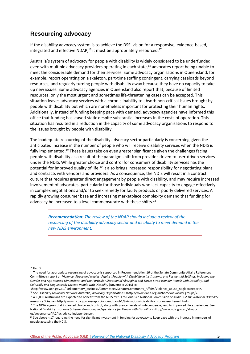### **Resourcing advocacy**

If the disability advocacy system is to achieve the DSS' vision for a responsive, evidence-based, integrated and effective NDAP, $16$  it must be appropriately resourced. $17$ 

Australia's system of advocacy for people with disability is widely considered to be underfunded; even with multiple advocacy providers operating in each state,<sup>18</sup> advocates report being unable to meet the considerable demand for their services. Some advocacy organisations in Queensland, for example, report operating on a skeleton, part-time staffing contingent, carrying caseloads beyond resources, and regularly turning people with disability away because they have no capacity to take up new issues. Some advocacy agencies in Queensland also report that, because of limited resources, only the most urgent and sometimes life-threatening cases can be accepted. This situation leaves advocacy services with a chronic inability to absorb non-critical issues brought by people with disability but which are nonetheless important for protecting their human rights. Additionally, instead of funding keeping pace with demand, advocacy agencies have informed this office that funding has stayed static despite substantial increases in the costs of operation. This situation has resulted in a reduction in the capacity of some advocacy organisations to respond to the issues brought by people with disability.

The inadequate resourcing of the disability advocacy sector particularly is concerning given the anticipated increase in the number of people who will receive disability services when the NDIS is fully implemented.<sup>19</sup> These issues take on even greater significance given the challenges facing people with disability as a result of the paradigm shift from provider-driven to user-driven services under the NDIS. While greater choice and control for consumers of disability services has the potential for improved quality of life,<sup>20</sup> it also brings increased responsibility for negotiating plans and contracts with vendors and providers. As a consequence, the NDIS will result in a contract culture that requires greater direct engagement by people with disability, and may require increased involvement of advocates, particularly for those individuals who lack capacity to engage effectively in complex negotiations and/or to seek remedy for faulty products or poorly delivered services. A rapidly growing consumer base and increasing marketplace complexity demand that funding for advocacy be increased to a level commensurate with these shifts. $21$ 

*Recommendation: The review of the NDAP should include a review of the resourcing of the disability advocacy sector and its ability to meet demand in the new NDIS environment.*

 $16$  Ibid 3.

<sup>&</sup>lt;sup>17</sup> The need for appropriate resourcing of advocacy is supported in Recommendation 16 of the Senate Community Affairs References Committee's report on *Violence, Abuse and Neglect Against People with Disability in Institutional and Residential Settings, Including the Gender and Age Related Dimensions, and the Particular Situation of Aboriginal and Torres Strait Islander People with Disability, and Culturally and Linguistically Diverse People with Disability* (November 2015) xx

<sup>&</sup>lt;http://www.aph.gov.au/Parliamentary\_Business/Committees/Senate/Community\_Affairs/Violence\_abuse\_neglect/Report>.

<sup>18</sup> See Disability Advocacy Network Australia, *Advocacy Organisations* <http://www.dana.org.au/home/advocacy-groups/>. <sup>19</sup> 450,000 Australians are expected to benefit from the NDIS by full roll-out. See National Commission of Audit, *7.2 The National Disability Insurance Scheme* <http://www.ncoa.gov.au/report/appendix-vol-1/9-2-national-disability-insurance-scheme.html>.

<sup>&</sup>lt;sup>20</sup> The NDIA argues that increased choice and control, along with greater levels of independence, lead to improved life experiences. See National Disability Insurance Scheme, *Promoting Independence for People with Disability* <http://www.ndis.gov.au/aboutus/governance/IAC/iac-advice-independence>.

 $21$  See above n 17 regarding the need for significant investment in funding for advocacy to keep pace with the increase in numbers of people accessing the NDIS.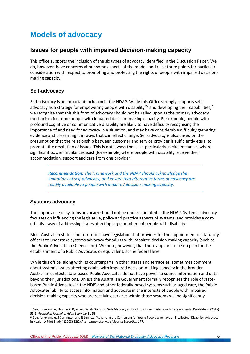# **Models of advocacy**

### **Issues for people with impaired decision-making capacity**

This office supports the inclusion of the six types of advocacy identified in the Discussion Paper. We do, however, have concerns about some aspects of the model, and raise three points for particular consideration with respect to promoting and protecting the rights of people with impaired decisionmaking capacity.

#### **Self-advocacy**

Self-advocacy is an important inclusion in the NDAP. While this Office strongly supports selfadvocacy as a strategy for empowering people with disability  $^{22}$  and developing their capabilities,  $^{23}$ we recognise that this this form of advocacy should not be relied upon as the primary advocacy mechanism for some people with impaired decision-making capacity. For example, people with profound cognitive or communicative disability are likely to have difficulty recognising the importance of and need for advocacy in a situation, and may have considerable difficulty gathering evidence and presenting it in ways that can effect change. Self-advocacy is also based on the presumption that the relationship between customer and service provider is sufficiently equal to promote the resolution of issues. This is not always the case, particularly in circumstances where significant power imbalances exist (for example, where people with disability receive their accommodation, support and care from one provider).

*Recommendation: The Framework and the NDAP should acknowledge the limitations of self-advocacy, and ensure that alternative forms of advocacy are readily available to people with impaired decision-making capacity.*

#### **Systems advocacy**

The importance of systems advocacy should not be underestimated in the NDAP. Systems advocacy focusses on influencing the legislative, policy and practice aspects of systems, and provides a costeffective way of addressing issues affecting large numbers of people with disability.

Most Australian states and territories have legislation that provides for the appointment of statutory officers to undertake systems advocacy for adults with impaired decision-making capacity (such as the Public Advocate in Queensland). We note, however, that there appears to be no plan for the establishment of a Public Advocate, or equivalent, at the federal level.

While this office, along with its counterparts in other states and territories, sometimes comment about systems issues affecting adults with impaired decision-making capacity in the broader Australian context, state-based Public Advocates do not have power to source information and data beyond their jurisdictions. Unless the Australian Government formally recognises the role of statebased Public Advocates in the NDIS and other federally-based systems such as aged care, the Public Advocates' ability to access information and advocate in the interests of people with impaired decision-making capacity who are receiving services within those systems will be significantly

Office of the Public Advocate (Qld) **|** *Review of the National Disability Advocacy Program* **6**

**<sup>.</sup>** <sup>22</sup> See, for example, Thomas G Ryan and Sarah Griffiths, 'Self-Advocacy and its Impacts with Adults with Developmental Disabilities.' (2015) 55(1) *Australian Journal of Adult Learning* 31-53.

<sup>&</sup>lt;sup>23</sup> See, for example, S Carrington and N Lennox, "Advancing the Curriculum for Young People who have an Intellectual Disability. Advocacy in Health: A Pilot Study.' (2008) 32(2) *Australasian Journal of Special Education* 177.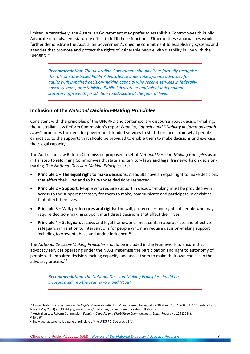limited. Alternatively, the Australian Government may prefer to establish a Commonwealth Public Advocate or equivalent statutory office to fulfil those functions. Either of these approaches would further demonstrate the Australian Government's ongoing commitment to establishing systems and agencies that promote and protect the rights of vulnerable people with disability in line with the UNCRPD. 24

*Recommendation: The Australian Government should either formally recognise the role of state-based Public Advocates to undertake systems advocacy for adults with impaired decision-making capacity who receive services in federallybased systems, or establish a Public Advocate or equivalent independent statutory office with jurisdiction to advocate at the federal level.*

#### **Inclusion of the** *National Decision-Making Principles*

Consistent with the principles of the UNCRPD and contemporary discourse about decision-making, the Australian Law Reform Commission's report *Equality, Capacity and Disability in Commonwealth Laws*<sup>25</sup> promotes the need for government-funded services to shift their focus from what people cannot do, to the supports that should be provided to enable them to make decisions and exercise their legal capacity.

The Australian Law Reform Commission proposed a set of *National Decision-Making Principles* as an initial step to reforming Commonwealth, state and territory laws and legal frameworks on decisionmaking. The *National Decision-Making Principles* are:

- **Principle 1 – The equal right to make decisions:** All adults have an equal right to make decisions that affect their lives and to have those decisions respected.
- **Principle 2 – Support:** People who require support in decision-making must be provided with access to the support necessary for them to make, communicate and participate in decisions that affect their lives.
- **Principle 3 – Will, preferences and rights:** The will, preferences and rights of people who may require decision-making support must direct decisions that affect their lives.
- **Principle 4 – Safeguards:** Laws and legal frameworks must contain appropriate and effective safeguards in relation to interventions for people who may require decision-making support, including to prevent abuse and undue influence. 26

The *National Decision-Making Principles* should be included in the Framework to ensure that advocacy services operating under the NDAP maximise the participation and right to autonomy of people with impaired decision-making capacity, and assist them to make their own choices in the advocacy process.<sup>27</sup>

*Recommendation: The National Decision-Making Principles should be incorporated into the Framework and NDAP.*

<sup>24</sup> United Nations, *Convention on the Rights of Persons with Disabilities*, opened for signature 30 March 2007 [2008] ATS 12 (entered into force 3 May 2008) art 33 <http://www.un.org/disabilities/convention/conventionfull.shtml>.

<sup>25</sup> Australian Law Reform Commission, *Equality, Capacity and Disability in Commonwealth Laws*, Report No 124 (2014).

<sup>26</sup> Ibid 64.

 $27$  Individual autonomy is a general principle of the UNCRPD. See article 3(a).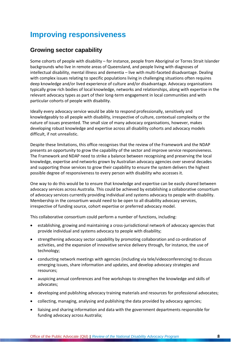# **Improving responsiveness**

### **Growing sector capability**

Some cohorts of people with disability – for instance, people from Aboriginal or Torres Strait Islander backgrounds who live in remote areas of Queensland, and people living with diagnoses of intellectual disability, mental illness and dementia – live with multi-faceted disadvantage. Dealing with complex issues relating to specific populations living in challenging situations often requires deep knowledge and/or lived experience of culture and/or disadvantage. Advocacy organisations typically grow rich bodies of local knowledge, networks and relationships, along with expertise in the relevant advocacy types as part of their long-term engagement in local communities and with particular cohorts of people with disability.

Ideally every advocacy service would be able to respond professionally, sensitively and knowledgeably to all people with disability, irrespective of culture, contextual complexity or the nature of issues presented. The small size of many advocacy organisations, however, makes developing robust knowledge and expertise across all disability cohorts and advocacy models difficult, if not unrealistic.

Despite these limitations, this office recognises that the review of the Framework and the NDAP presents an opportunity to grow the capability of the sector and improve service responsiveness. The Framework and NDAP need to strike a balance between recognising and preserving the local knowledge, expertise and networks grown by Australian advocacy agencies over several decades and supporting those services to grow their capability to ensure the system delivers the highest possible degree of responsiveness to every person with disability who accesses it.

One way to do this would be to ensure that knowledge and expertise can be easily shared between advocacy services across Australia. This could be achieved by establishing a collaborative consortium of advocacy services currently providing individual and systems advocacy to people with disability. Membership in the consortium would need to be open to all disability advocacy services, irrespective of funding source, cohort expertise or preferred advocacy model.

This collaborative consortium could perform a number of functions, including:

- establishing, growing and maintaining a cross-jurisdictional network of advocacy agencies that provide individual and systems advocacy to people with disability;
- strengthening advocacy sector capability by promoting collaboration and co-ordination of activities, and the expansion of innovative service delivery through, for instance, the use of technology;
- conducting network meetings with agencies (including via tele/videoconferencing) to discuss emerging issues, share information and updates, and develop advocacy strategies and resources;
- auspicing annual conferences and free workshops to strengthen the knowledge and skills of advocates;
- developing and publishing advocacy training materials and resources for professional advocates;
- collecting, managing, analysing and publishing the data provided by advocacy agencies;
- liaising and sharing information and data with the government departments responsible for funding advocacy across Australia;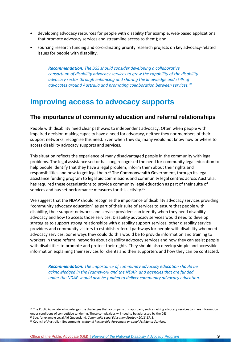- developing advocacy resources for people with disability (for example, web-based applications that promote advocacy services and streamline access to them); and
- sourcing research funding and co-ordinating priority research projects on key advocacy-related issues for people with disability.

*Recommendation: The DSS should consider developing a collaborative consortium of disability advocacy services to grow the capability of the disability advocacy sector through enhancing and sharing the knowledge and skills of advocates around Australia and promoting collaboration between services.<sup>28</sup>*

## **Improving access to advocacy supports**

#### **The importance of community education and referral relationships**

People with disability need clear pathways to independent advocacy. Often when people with impaired decision-making capacity have a need for advocacy, neither they nor members of their support networks, recognise this need. Even when they do, many would not know how or where to access disability advocacy supports and services.

This situation reflects the experience of many disadvantaged people in the community with legal problems. The legal assistance sector has long recognised the need for community legal education to help people identify that they have a legal problem, inform them about their rights and responsibilities and how to get legal help.<sup>29</sup> The Commonwealth Government, through its legal assistance funding program to legal aid commissions and community legal centres across Australia, has required these organisations to provide community legal education as part of their suite of services and has set performance measures for this activity.<sup>30</sup>

We suggest that the NDAP should recognise the importance of disability advocacy services providing "community advocacy education" as part of their suite of services to ensure that people with disability, their support networks and service providers can identify when they need disability advocacy and how to access those services. Disability advocacy services would need to develop strategies to support strong relationships with disability support services, other disability service providers and community visitors to establish referral pathways for people with disability who need advocacy services. Some ways they could do this would be to provide information and training to workers in these referral networks about disability advocacy services and how they can assist people with disabilities to promote and protect their rights. They should also develop simple and accessible information explaining their services for clients and their supporters and how they can be contacted.

*Recommendation: The importance of community advocacy education should be acknowledged in the Framework and the NDAP, and agencies that are funded under the NDAP should also be funded to deliver community advocacy education.*

<sup>&</sup>lt;sup>28</sup> The Public Advocate acknowledges the challenges that accompany this approach, such as asking advocacy services to share information under conditions of competitive tendering. These complexities will need to be addressed by the DSS.

<sup>29</sup> See, for example Legal Aid Queensland*, Community Legal Education Strategy 2016-17*, 3.

<sup>30</sup> Council of Australian Governments, *National Partnership Agreement on Legal Assistance Services.*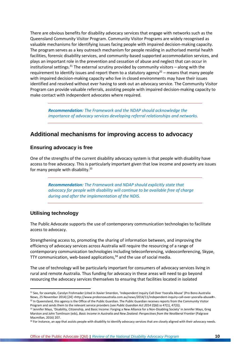There are obvious benefits for disability advocacy services that engage with networks such as the Queensland Community Visitor Program. Community Visitor Programs are widely recognised as valuable mechanisms for identifying issues facing people with impaired decision-making capacity. The program serves as a key outreach mechanism for people residing in authorised mental health facilities, forensic disability services, and community-based supported accommodation services, and plays an important role in the prevention and cessation of abuse and neglect that can occur in institutional settings.<sup>31</sup> The external scrutiny provided by community visitors – along with the requirement to identify issues and report them to a statutory agency $32 -$  means that many people with impaired decision-making capacity who live in closed environments may have their issues identified and resolved without ever having to seek out an advocacy service. The Community Visitor Program can provide valuable referrals, assisting people with impaired decision-making capacity to make contact with independent advocates where required.

*Recommendation: The Framework and the NDAP should acknowledge the importance of advocacy services developing referral relationships and networks.*

### **Additional mechanisms for improving access to advocacy**

#### **Ensuring advocacy is free**

One of the strengths of the current disability advocacy system is that people with disability have access to free advocacy. This is particularly important given that low income and poverty are issues for many people with disability. $33$ 

*Recommendation: The Framework and NDAP should explicitly state that advocacy for people with disability will continue to be available free of charge during and after the implementation of the NDIS.*

#### **Utilising technology**

**.** 

The Public Advocate supports the use of contemporary communication technologies to facilitate access to advocacy.

Strengthening access to, promoting the sharing of information between, and improving the efficiency of advocacy services across Australia will require the resourcing of a range of contemporary communication technologies including teleconferencing, videoconferencing, Skype, TTY communication, web-based applications,  $34$  and the use of social media.

The use of technology will be particularly important for consumers of advocacy services living in rural and remote Australia. Thus funding for advocacy in these areas will need to go beyond resourcing the advocacy services themselves to ensuring that facilities located in isolated

<sup>31</sup> See, for example, Carolyn Frohmader (cited in Xavier Smerdon, 'Independent Inquiry Call Over Yooralla Abuse' (Pro Bono Australia News, 25 November 2014) [24] <http://www.probonoaustralia.com.au/news/2014/11/independent-inquiry-call-over-yooralla-abuse#>. 32 In Queensland, this agency is the Office of the Public Guardian. The Public Guardian receives reports from the Community Visitor Program and sends them to the relevant service providers (see *Public Guardian Act 2014* (Qld) ss 47(1), 47(3)).

<sup>33</sup> Jennifer Mays, 'Disability, Citizenship, and Basic Income: Forging a New Alliance for a Non-Disabling Society' in Jennifer Mays, Greg Marston and John Tomlinson (eds), *Basic Income in Australia and New Zealand: Perspectives from the Neoliberal Frontier* (Palgrave Macmillan, 2016) 207.

<sup>34</sup> For instance, an app that assists people with disability to identify advocacy services that are closely aligned with their advocacy needs.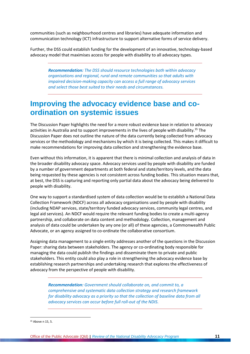communities (such as neighbourhood centres and libraries) have adequate information and communication technology (ICT) infrastructure to support alternative forms of service delivery.

Further, the DSS could establish funding for the development of an innovative, technology-based advocacy model that maximises access for people with disability to all advocacy types.

*Recommendation: The DSS should resource technologies both within advocacy organisations and regional, rural and remote communities so that adults with impaired decision-making capacity can access a full range of advocacy services and select those best suited to their needs and circumstances.*

## **Improving the advocacy evidence base and coordination on systemic issues**

The Discussion Paper highlights the need for a more robust evidence base in relation to advocacy activities in Australia and to support improvements in the lives of people with disability.<sup>35</sup> The Discussion Paper does not outline the nature of the data currently being collected from advocacy services or the methodology and mechanisms by which it is being collected. This makes it difficult to make recommendations for improving data collection and strengthening the evidence base.

Even without this information, it is apparent that there is minimal collection and analysis of data in the broader disability advocacy space. Advocacy services used by people with disability are funded by a number of government departments at both federal and state/territory levels, and the data being requested by these agencies is not consistent across funding bodies. This situation means that, at best, the DSS is capturing and reporting only partial data about the advocacy being delivered to people with disability.

One way to support a standardised system of data collection would be to establish a National Data Collection Framework (NDCF) across all advocacy organisations used by people with disability (including NDAP services, state/territory funded advocacy services, community legal centres, and legal aid services). An NDCF would require the relevant funding bodies to create a multi-agency partnership, and collaborate on data content and methodology. Collection, management and analysis of data could be undertaken by any one (or all) of these agencies, a Commonwealth Public Advocate, or an agency assigned to co-ordinate the collaborative consortium.

Assigning data management to a single entity addresses another of the questions in the Discussion Paper: sharing data between stakeholders. The agency or co-ordinating body responsible for managing the data could publish the findings and disseminate them to private and public stakeholders. This entity could also play a role in strengthening the advocacy evidence base by establishing research partnerships and undertaking research that explores the effectiveness of advocacy from the perspective of people with disability.

*Recommendation: Government should collaborate on, and commit to, a comprehensive and systematic data collection strategy and research framework for disability advocacy as a priority so that the collection of baseline data from all advocacy services can occur before full roll-out of the NDIS.*

 $\overline{a}$ 

<sup>&</sup>lt;sup>35</sup> Above n 15, 5.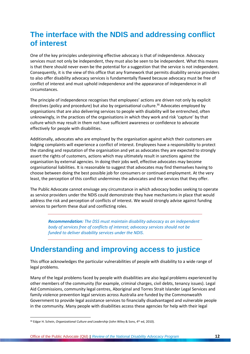# **The interface with the NDIS and addressing conflict of interest**

One of the key principles underpinning effective advocacy is that of independence. Advocacy services must not only be independent, they must also be seen to be independent. What this means is that there should never even be the potential for a suggestion that the service is not independent. Consequently, it is the view of this office that any framework that permits disability service providers to also offer disability advocacy services is fundamentally flawed because advocacy must be free of conflict of interest and must uphold independence and the appearance of independence in all circumstances.

The principle of independence recognises that employees' actions are driven not only by explicit directives (policy and procedure) but also by organisational culture.<sup>36</sup> Advocates employed by organisations that are also delivering services to people with disability will be entrenched, often unknowingly, in the practices of the organisations in which they work and risk 'capture' by that culture which may result in them not have sufficient awareness or confidence to advocate effectively for people with disabilities.

Additionally, advocates who are employed by the organisation against which their customers are lodging complaints will experience a conflict of interest. Employees have a responsibility to protect the standing and reputation of the organisation and yet as advocates they are expected to strongly assert the rights of customers, actions which may ultimately result in sanctions against the organisation by external agencies. In doing their jobs well, effective advocates may become organisational liabilities. It is reasonable to suggest that advocates may find themselves having to choose between doing the best possible job for consumers or continued employment. At the very least, the perception of this conflict undermines the advocates and the services that they offer.

The Public Advocate cannot envisage any circumstance in which advocacy bodies seeking to operate as service providers under the NDIS could demonstrate they have mechanisms in place that would address the risk and perception of conflicts of interest. We would strongly advise against funding services to perform these dual and conflicting roles.

*Recommendation: The DSS must maintain disability advocacy as an independent body of services free of conflicts of interest; advocacy services should not be funded to deliver disability services under the NDIS.*

# **Understanding and improving access to justice**

This office acknowledges the particular vulnerabilities of people with disability to a wide range of legal problems.

Many of the legal problems faced by people with disabilities are also legal problems experienced by other members of the community (for example, criminal charges, civil debts, tenancy issues). Legal Aid Commissions, community legal centres, Aboriginal and Torres Strait Islander Legal Services and family violence prevention legal services across Australia are funded by the Commonwealth Government to provide legal assistance services to financially disadvantaged and vulnerable people in the community. Many people with disabilities access these agencies for help with their legal

 $\overline{a}$ 

<sup>&</sup>lt;sup>36</sup> Edgar H. Schein, *Organizational Culture and Leadership* (John Wiley & Sons, 4<sup>th</sup> ed, 2010).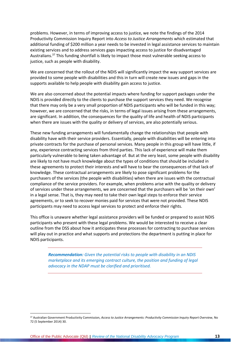problems. However, in terms of improving access to justice, we note the findings of the 2014 Productivity Commission Inquiry Report into *Access to Justice Arrangements* which estimated that additional funding of \$200 million a year needs to be invested in legal assistance services to maintain existing services and to address services gaps impacting access to justice for disadvantaged Australians.<sup>37</sup> This funding shortfall is likely to impact those most vulnerable seeking access to justice, such as people with disability.

We are concerned that the rollout of the NDIS will significantly impact the way support services are provided to some people with disabilities and this in turn will create new issues and gaps in the supports available to help people with disability gain access to justice.

We are also concerned about the potential impacts where funding for support packages under the NDIS is provided directly to the clients to purchase the support services they need. We recognise that there may only be a very small proportion of NDIS participants who will be funded in this way; however, we are concerned that the risks, in terms of legal issues arising from these arrangements, are significant. In addition, the consequences for the quality of life and health of NDIS participants when there are issues with the quality or delivery of services, are also potentially serious.

These new funding arrangements will fundamentally change the relationships that people with disability have with their service providers. Essentially, people with disabilities will be entering into private contracts for the purchase of personal services. Many people in this group will have little, if any, experience contracting services from third parties. This lack of experience will make them particularly vulnerable to being taken advantage of. But at the very least, some people with disability are likely to not have much knowledge about the types of conditions that should be included in these agreements to protect their interests and will have to bear the consequences of that lack of knowledge. These contractual arrangements are likely to pose significant problems for the purchasers of the services (the people with disabilities) when there are issues with the contractual compliance of the service providers. For example, when problems arise with the quality or delivery of services under these arrangements, we are concerned that the purchasers will be 'on their own' in a legal sense. That is, they may need to take their own legal steps to enforce their service agreements, or to seek to recover monies paid for services that were not provided. These NDIS participants may need to access legal services to protect and enforce their rights.

This office is unaware whether legal assistance providers will be funded or prepared to assist NDIS participants who present with these legal problems. We would be interested to receive a clear outline from the DSS about how it anticipates these processes for contracting to purchase services will play out in practice and what supports and protections the department is putting in place for NDIS participants.

*Recommendation: Given the potential risks to people with disability in an NDIS marketplace and its emerging contract culture, the position and funding of legal advocacy in the NDAP must be clarified and prioritised.*

1

<sup>37</sup> Australian Government Productivity Commission, *Access to Justice Arrangements: Productivity Commission Inquiry Report Overview,* No 72 (5 September 2014) 30.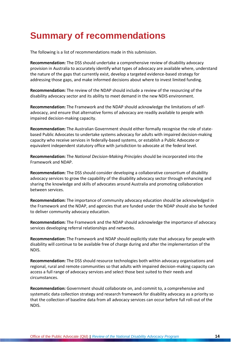# **Summary of recommendations**

The following is a list of recommendations made in this submission.

**Recommendation:** The DSS should undertake a comprehensive review of disability advocacy provision in Australia to accurately identify what types of advocacy are available where, understand the nature of the gaps that currently exist, develop a targeted evidence-based strategy for addressing those gaps, and make informed decisions about where to invest limited funding.

**Recommendation:** The review of the NDAP should include a review of the resourcing of the disability advocacy sector and its ability to meet demand in the new NDIS environment.

**Recommendation:** The Framework and the NDAP should acknowledge the limitations of selfadvocacy, and ensure that alternative forms of advocacy are readily available to people with impaired decision-making capacity.

**Recommendation:** The Australian Government should either formally recognise the role of statebased Public Advocates to undertake systems advocacy for adults with impaired decision-making capacity who receive services in federally-based systems, or establish a Public Advocate or equivalent independent statutory office with jurisdiction to advocate at the federal level.

**Recommendation:** The *National Decision-Making Principles* should be incorporated into the Framework and NDAP.

**Recommendation:** The DSS should consider developing a collaborative consortium of disability advocacy services to grow the capability of the disability advocacy sector through enhancing and sharing the knowledge and skills of advocates around Australia and promoting collaboration between services.

**Recommendation:** The importance of community advocacy education should be acknowledged in the Framework and the NDAP, and agencies that are funded under the NDAP should also be funded to deliver community advocacy education.

**Recommendation:** The Framework and the NDAP should acknowledge the importance of advocacy services developing referral relationships and networks.

**Recommendation:** The Framework and NDAP should explicitly state that advocacy for people with disability will continue to be available free of charge during and after the implementation of the NDIS.

**Recommendation:** The DSS should resource technologies both within advocacy organisations and regional, rural and remote communities so that adults with impaired decision-making capacity can access a full range of advocacy services and select those best suited to their needs and circumstances.

**Recommendation:** Government should collaborate on, and commit to, a comprehensive and systematic data collection strategy and research framework for disability advocacy as a priority so that the collection of baseline data from all advocacy services can occur before full roll-out of the NDIS.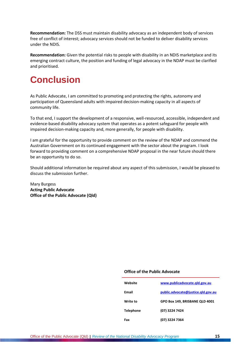**Recommendation:** The DSS must maintain disability advocacy as an independent body of services free of conflict of interest; advocacy services should not be funded to deliver disability services under the NDIS.

**Recommendation:** Given the potential risks to people with disability in an NDIS marketplace and its emerging contract culture, the position and funding of legal advocacy in the NDAP must be clarified and prioritised.

# **Conclusion**

As Public Advocate, I am committed to promoting and protecting the rights, autonomy and participation of Queensland adults with impaired decision-making capacity in all aspects of community life.

To that end, I support the development of a responsive, well-resourced, accessible, independent and evidence-based disability advocacy system that operates as a potent safeguard for people with impaired decision-making capacity and, more generally, for people with disability.

I am grateful for the opportunity to provide comment on the review of the NDAP and commend the Australian Government on its continued engagement with the sector about the program. I look forward to providing comment on a comprehensive NDAP proposal in the near future should there be an opportunity to do so.

Should additional information be required about any aspect of this submission, I would be pleased to discuss the submission further.

Mary Burgess **Acting Public Advocate Office of the Public Advocate (Qld)**

#### **Office of the Public Advocate**

| Website          | www.publicadvocate.gld.gov.au      |
|------------------|------------------------------------|
| Email            | public.advocate@justice.gld.gov.au |
| Write to         | GPO Box 149, BRISBANE QLD 4001     |
| <b>Telephone</b> | (07) 3224 7424                     |
| Fax              | (07) 3224 7364                     |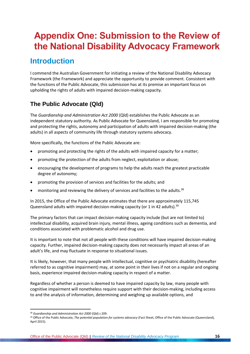# **Appendix One: Submission to the Review of the National Disability Advocacy Framework**

# **Introduction**

I commend the Australian Government for initiating a review of the National Disability Advocacy Framework (the Framework) and appreciate the opportunity to provide comment. Consistent with the functions of the Public Advocate, this submission has at its premise an important focus on upholding the rights of adults with impaired decision-making capacity.

## **The Public Advocate (Qld)**

The *Guardianship and Administration Act 2000* (Qld) establishes the Public Advocate as an independent statutory authority. As Public Advocate for Queensland, I am responsible for promoting and protecting the rights, autonomy and participation of adults with impaired decision-making (the adults) in all aspects of community life through statutory systems advocacy.

More specifically, the functions of the Public Advocate are:

- promoting and protecting the rights of the adults with impaired capacity for a matter;
- promoting the protection of the adults from neglect, exploitation or abuse;
- encouraging the development of programs to help the adults reach the greatest practicable degree of autonomy;
- promoting the provision of services and facilities for the adults; and
- monitoring and reviewing the delivery of services and facilities to the adults.<sup>38</sup>

In 2015, the Office of the Public Advocate estimates that there are approximately 115,745 Queensland adults with impaired decision-making capacity (or 1 in 42 adults).<sup>39</sup>

The primary factors that can impact decision-making capacity include (but are not limited to) intellectual disability, acquired brain injury, mental illness, ageing conditions such as dementia, and conditions associated with problematic alcohol and drug use.

It is important to note that not all people with these conditions will have impaired decision-making capacity. Further, impaired decision-making capacity does not necessarily impact all areas of an adult's life, and may fluctuate in response to situational issues.

It is likely, however, that many people with intellectual, cognitive or psychiatric disability (hereafter referred to as cognitive impairment) may, at some point in their lives if not on a regular and ongoing basis, experience impaired decision-making capacity in respect of a matter.

Regardless of whether a person is deemed to have impaired capacity by law, many people with cognitive impairment will nonetheless require support with their decision-making, including access to and the analysis of information, determining and weighing up available options, and

<sup>1</sup> <sup>38</sup> *Guardianship and Administration Act 2000* (Qld) s 209.

<sup>39</sup> Office of the Public Advocate, *The potential population for systems advocacy* (Fact Sheet, Office of the Public Advocate (Queensland), April 2015).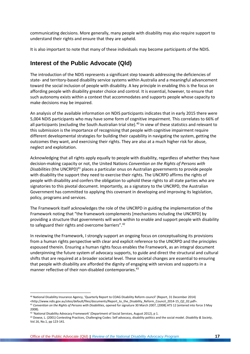communicating decisions. More generally, many people with disability may also require support to understand their rights and ensure that they are upheld.

It is also important to note that many of these individuals may become participants of the NDIS.

### **Interest of the Public Advocate (Qld)**

The introduction of the NDIS represents a significant step towards addressing the deficiencies of state- and territory-based disability service systems within Australia and a meaningful advancement toward the social inclusion of people with disability. A key principle in enabling this is the focus on affording people with disability greater choice and control. It is essential, however, to ensure that such autonomy exists within a context that accommodates and supports people whose capacity to make decisions may be impaired.

An analysis of the available information on NDIS participants indicates that in early 2015 there were 5,004 NDIS participants who may have some form of cognitive impairment. This correlates to 66% of all participants (excluding the South Australian trial site).<sup>40</sup> In view of these statistics and relevant to this submission is the importance of recognising that people with cognitive impairment require different developmental strategies for building their capability in navigating the system, getting the outcomes they want, and exercising their rights. They are also at a much higher risk for abuse, neglect and exploitation.

Acknowledging that all rights apply equally to people with disability, regardless of whether they have decision-making capacity or not, the United Nations *Convention on the Rights of Persons with*  Disabilities (the UNCRPD)<sup>41</sup> places a particular onus on Australian governments to provide people with disability the support they need to exercise their rights. The UNCRPD affirms the rights of people with disability and confers the obligation to uphold these rights to all state parties who are signatories to this pivotal document. Importantly, as a signatory to the UNCRPD, the Australian Government has committed to applying this covenant in developing and improving its legislation, policy, programs and services.

The Framework itself acknowledges the role of the UNCRPD in guiding the implementation of the Framework noting that "the framework complements [mechanisms including the UNCRPD] by providing a structure that governments will work within to enable and support people with disability to safeguard their rights and overcome barriers".<sup>42</sup>

In reviewing the Framework, I strongly support an ongoing focus on conceptualising its provisions from a human rights perspective with clear and explicit reference to the UNCRPD and the principles espoused therein. Ensuring a human rights focus enables the Framework, as an integral document underpinning the future system of advocacy supports, to guide and direct the structural and cultural shifts that are required at a broader societal level. These societal changes are essential to ensuring that people with disability are afforded the dignity of engaging with services and supports in a manner reflective of their non-disabled contemporaries.<sup>43</sup>

<sup>40</sup> National Disability Insurance Agency, 'Quarterly Report to COAG Disability Reform council' (Report, 31 December 2014)

[<sup>&</sup>lt;http://www.ndis.gov.au/sites/default/files/documents/Report\\_to\\_the\\_Disability\\_Reform\\_Council\\_2014-15\\_Q2\\_02.pdf>](http://www.ndis.gov.au/sites/default/files/documents/Report_to_the_Disability_Reform_Council_2014-15_Q2_02.pdf).

<sup>41</sup> *Convention on the Rights of Persons with Disabilities*, opened for signature 30 March 2007, [2008] ATS 12 (entered into force 3 May 2008).

<sup>42</sup> 'National Disability Advocacy Framework' (Department of Social Services, August 2012), p 1.

<sup>43</sup> Dowse, L. (2001) Contesting Practices, Challenging Codes: Self advocacy, disability politics and the social model. *Disability & Society*, Vol.16, No.1, pp 123-141.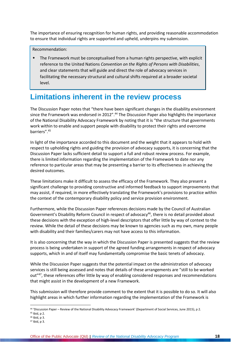The importance of ensuring recognition for human rights, and providing reasonable accommodation to ensure that individual rights are supported and upheld, underpins my submission.

Recommendation:

 The Framework must be conceptualised from a human rights perspective, with explicit reference to the United Nations *Convention on the Rights of Persons with Disabilities*, and clear statements that will guide and direct the role of advocacy services in facilitating the necessary structural and cultural shifts required at a broader societal level.

## **Limitations inherent in the review process**

The Discussion Paper notes that "there have been significant changes in the disability environment since the Framework was endorsed in 2012".<sup>44</sup> The Discussion Paper also highlights the importance of the National Disability Advocacy Framework by noting that it is "the structure that governments work within to enable and support people with disability to protect their rights and overcome barriers".<sup>45</sup>

In light of the importance accorded to this document and the weight that it appears to hold with respect to upholding rights and guiding the provision of advocacy supports, it is concerning that the Discussion Paper lacks sufficient detail to support a full and robust review process. For example, there is limited information regarding the implementation of the Framework to date nor any reference to particular areas that may be presenting a barrier to its effectiveness in achieving the desired outcomes.

These limitations make it difficult to assess the efficacy of the Framework. They also present a significant challenge to providing constructive and informed feedback to support improvements that may assist, if required, in more effectively translating the Framework's provisions to practice within the context of the contemporary disability policy and service provision environment.

Furthermore, while the Discussion Paper references decisions made by the Council of Australian Government's Disability Reform Council in respect of advocacy<sup>46</sup>, there is no detail provided about these decisions with the exception of high-level descriptors that offer little by way of context to the review. While the detail of these decisions may be known to agencies such as my own, many people with disability and their families/carers may not have access to this information.

It is also concerning that the way in which the Discussion Paper is presented suggests that the review process is being undertaken in support of the agreed funding arrangements in respect of advocacy supports, which in and of itself may fundamentally compromise the basic tenets of advocacy.

While the Discussion Paper suggests that the potential impact on the administration of advocacy services is still being assessed and notes that details of these arrangements are "still to be worked out"<sup>47</sup>, these references offer little by way of enabling considered responses and recommendations that might assist in the development of a new Framework.

This submission will therefore provide comment to the extent that it is possible to do so. It will also highlight areas in which further information regarding the implementation of the Framework is

<sup>44</sup> 'Discussion Paper – Review of the National Disability Advocacy Framework' (Department of Social Services, June 2015), p 2.

<sup>45</sup> Ibid, p 2.

<sup>46</sup> Ibid, p 3.

<sup>47</sup> Ibid, p 3.

Office of the Public Advocate (Qld) **|** *Review of the National Disability Advocacy Program* **18**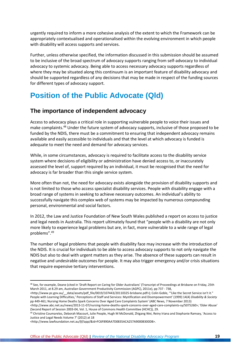urgently required to inform a more cohesive analysis of the extent to which the Framework can be appropriately contextualised and operationalised within the evolving environment in which people with disability will access supports and services.

Further, unless otherwise specified, the information discussed in this submission should be assumed to be inclusive of the broad spectrum of advocacy supports ranging from self-advocacy to individual advocacy to systemic advocacy. Being able to access necessary advocacy supports regardless of where they may be situated along this continuum is an important feature of disability advocacy and should be supported regardless of any decisions that may be made in respect of the funding sources for different types of advocacy support.

# **Position of the Public Advocate (Qld)**

### **The importance of independent advocacy**

Access to advocacy plays a critical role in supporting vulnerable people to voice their issues and make complaints.<sup>48</sup> Under the future system of advocacy supports, inclusive of those proposed to be funded by the NDIS, there must be a commitment to ensuring that independent advocacy remains available and easily accessible to individuals and that the level at which advocacy is funded is adequate to meet the need and demand for advocacy services.

While, in some circumstances, advocacy is required to facilitate access to the disability service system where decisions of eligibility or administration have denied access to, or inaccurately assessed the level of, support required by an individual, it must be recognised that the need for advocacy is far broader than this single service system.

More often than not, the need for advocacy exists alongside the provision of disability supports and is not limited to those who access specialist disability services. People with disability engage with a broad range of systems in seeking to achieve necessary outcomes. An individual's ability to successfully navigate this complex web of systems may be impacted by numerous compounding personal, environmental and social factors.

In 2012, the Law and Justice Foundation of New South Wales published a report on access to justice and legal needs in Australia. This report ultimately found that "people with a disability are not only more likely to experience legal problems but are, in fact, more vulnerable to a wide range of legal problems". 49

The number of legal problems that people with disability face may increase with the introduction of the NDIS. It is crucial for individuals to be able to access advocacy supports to not only navigate the NDIS but also to deal with urgent matters as they arise. The absence of these supports can result in negative and undesirable outcomes for people. It may also trigger emergency and/or crisis situations that require expensive tertiary interventions.

<sup>48</sup> See, for example, Deane (cited in 'Draft Report on Caring for Older Australians' (Transcript of Proceedings at Brisbane on Friday, 25th March 2011, at 8.29 am, Australian Government Productivity Commission (AGPC), 2011e), pp 737 - 738,

[<sup>&</sup>lt;http://www.pc.gov.au/\\_\\_data/assets/pdf\\_file/0019/107443/20110325-brisbane.pdf](http://www.pc.gov.au/__data/assets/pdf_file/0019/107443/20110325-brisbane.pdf)>); Colin Goble, '"Like the Secret Service isn't it." People with Learning Difficulties,' Perceptions of Staff and Services: Mystification and Disempowerment' (1999) 14(4) *Disability & Society* pp 449-461; Nursing Home Deaths Spark Concerns Over Aged Care Complaints System' (ABC News*,* 7 November 2013)

[<sup>&</sup>lt;http://www.abc.net.au/news/2013-11-07/nursing-home-deaths-spark-concerns-over-aged-care-complaints-sy/5075260](http://www.abc.net.au/news/2013-11-07/nursing-home-deaths-spark-concerns-over-aged-care-complaints-sy/5075260)>; 'Elder Abuse' (Second Report of Session 2003-04, Vol. 1, House of Commons Health Committee (HCHC)), 29.

<sup>49</sup> Christine Coumarelos, Deborah Macourt, Julie People, Hugh M McDonald, Zhigang Wei, Reiny Iriana and Stephanie Ramsey, 'Access to Justice and Legal Needs Volume 7' (2012) at 18

[<sup>&</sup>lt;http://www.lawfoundation.net.au/ljf/app/&id=FC6F890AA7D0835ACA257A90008300DB>](http://www.lawfoundation.net.au/ljf/app/&id=FC6F890AA7D0835ACA257A90008300DB).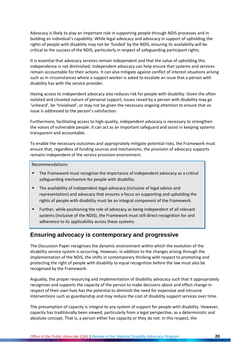Advocacy is likely to play an important role in supporting people through NDIS processes and in building an individual's capability. While legal advocacy and advocacy in support of upholding the rights of people with disability may not be 'funded' by the NDIS, ensuring its availability will be critical to the success of the NDIS, particularly in respect of safeguarding participant rights.

It is essential that advocacy services remain independent and that the value of upholding this independence is not diminished. Independent advocacy can help ensure that systems and services remain accountable for their actions. It can also mitigate against conflict of interest situations arising such as in circumstances where a support worker is asked to escalate an issue that a person with disability has with the service provider.

Having access to independent advocacy also reduces risk for people with disability. Given the often isolated and closeted nature of personal support, issues raised by a person with disability may go 'unheard', be 'trivialised', or may not be given the necessary ongoing attention to ensure that an issue is addressed to the person's satisfaction.

Furthermore, facilitating access to high-quality, independent advocacy is necessary to strengthen the voices of vulnerable people. It can act as an important safeguard and assist in keeping systems transparent and accountable.

To enable the necessary outcomes and appropriately mitigate potential risks, the Framework must ensure that, regardless of funding sources and mechanisms, the provision of advocacy supports remains independent of the service provision environment.

Recommendations:

- The Framework must recognise the importance of independent advocacy as a critical safeguarding mechanism for people with disability.
- The availability of independent legal advocacy (inclusive of legal advice and representation) and advocacy that ensures a focus on supporting and upholding the rights of people with disability must be an integral component of the Framework.
- Further, while positioning the role of advocacy as being independent of all relevant systems (inclusive of the NDIS), the Framework must still direct recognition for and adherence to its applicability across these systems.

#### **Ensuring advocacy is contemporary and progressive**

The Discussion Paper recognises the dynamic environment within which the evolution of the disability service system is occurring. However, in addition to the changes arising through the implementation of the NDIS, the shifts in contemporary thinking with respect to promoting and protecting the right of people with disability to equal recognition before the law must also be recognised by the Framework.

Arguably, the proper resourcing and implementation of disability advocacy such that it appropriately recognises and supports the capacity of the person to make decisions about and effect change in respect of their own lives has the potential to diminish the need for expensive and intrusive interventions such as guardianship and may reduce the cost of disability support services over time.

The presumption of capacity is integral to any system of support for people with disability. However, capacity has traditionally been viewed, particularly from a legal perspective, as a deterministic and absolute concept. That is, a person either has capacity or they do not. In this respect, the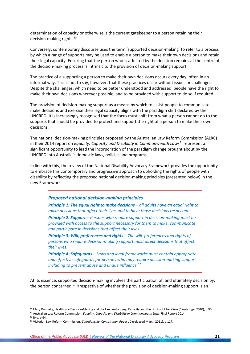determination of capacity or otherwise is the current gatekeeper to a person retaining their decision-making rights.<sup>50</sup>

Conversely, contemporary discourse uses the term 'supported decision-making' to refer to a process by which a range of supports may be used to enable a person to make their own decisions and retain their legal capacity. Ensuring that the person who is affected by the decision remains at the centre of the decision-making process is intrinsic to the provision of decision-making support.

The practice of a supporting a person to make their own decisions occurs every day, often in an informal way. This is not to say, however, that these practices occur without issues or challenges. Despite the challenges, which need to be better understood and addressed, people have the right to make their own decisions wherever possible, and to be provided with support to do so if required.

The provision of decision-making support as a means by which to assist people to communicate, make decisions and exercise their legal capacity aligns with the paradigm shift declared by the UNCRPD. It is increasingly recognised that the focus must shift from what a person cannot do to the supports that should be provided to protect and support the right of a person to make their own decisions.

The national decision-making principles proposed by the Australian Law Reform Commission (ALRC) in their 2014 report on *Equality, Capacity and Disability in Commonwealth Laws<sup>51</sup>* represent a significant opportunity to lead the incorporation of the paradigm change brought about by the UNCRPD into Australia's domestic laws, policies and programs.

In line with this, the review of the National Disability Advocacy Framework provides the opportunity to embrace this contemporary and progressive approach to upholding the rights of people with disability by reflecting the proposed national decision-making principles (presented below) in the new Framework.

#### *Proposed national decision-making principles*

*Principle 1: The equal right to make decisions – all adults have an equal right to make decisions that affect their lives and to have those decisions respected.*

*Principle 2: Support – Persons who require support in decision-making must be provided with access to the support necessary for them to make, communicate and participate in decisions that affect their lives.*

*Principle 3: Will, preferences and rights – The will, preferences and rights of persons who require decision-making support must direct decisions that affect their lives.*

*Principle 4: Safeguards – Laws and legal frameworks must contain appropriate and effective safeguards for persons who may require decision-making support including to prevent abuse and undue influence.<sup>52</sup>*

At its essence, supported decision-making involves the participation of, and ultimately decision by, the person concerned.<sup>53</sup> Irrespective of whether the provision of decision-making support is an

<sup>50</sup> Mary Donnelly, Healthcare Decision-Making and the Law: Autonomy, Capacity and the Limits of Liberalism (Cambridge, 2010), p 90. <sup>51</sup> Australian Law Reform Commission, *Equality, Capacity and Disability in Commonwealth Laws* Final Report 2014.

<sup>52</sup> Ibid, p 64.

<sup>53</sup> Victorian Law Reform Commission, *Guardianship: Consultation Paper 10* (released March 2011), p 117.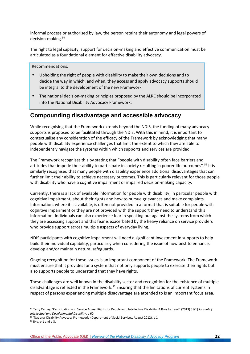informal process or authorised by law, the person retains their autonomy and legal powers of decision-making.<sup>54</sup>

The right to legal capacity, support for decision-making and effective communication must be articulated as a foundational element for effective disability advocacy.

Recommendations:

- Upholding the right of people with disability to make their own decisions and to decide the way in which, and when, they access and apply advocacy supports should be integral to the development of the new Framework.
- The national decision-making principles proposed by the ALRC should be incorporated into the National Disability Advocacy Framework.

### **Compounding disadvantage and accessible advocacy**

While recognising that the Framework extends beyond the NDIS, the funding of many advocacy supports is proposed to be facilitated through the NDIS. With this in mind, it is important to contextualise any consideration of the efficacy of the Framework by acknowledging that many people with disability experience challenges that limit the extent to which they are able to independently navigate the systems within which supports and services are provided.

The Framework recognises this by stating that "people with disability often face barriers and attitudes that impede their ability to participate in society resulting in poorer life outcomes".<sup>55</sup> It is similarly recognised that many people with disability experience additional disadvantages that can further limit their ability to achieve necessary outcomes. This is particularly relevant for those people with disability who have a cognitive impairment or impaired decision-making capacity.

Currently, there is a lack of available information for people with disability, in particular people with cognitive impairment, about their rights and how to pursue grievances and make complaints. Information, where it is available, is often not provided in a format that is suitable for people with cognitive impairment or they are not provided with the support they need to understand this information. Individuals can also experience fear in speaking out against the systems from which they are accessing support and this fear is exacerbated by the heavy reliance on service providers who provide support across multiple aspects of everyday living.

NDIS participants with cognitive impairment will need a significant investment in supports to help build their individual capability, particularly when considering the issue of how best to enhance, develop and/or maintain natural safeguards.

Ongoing recognition for these issues is an important component of the Framework. The Framework must ensure that it provides for a system that not only supports people to exercise their rights but also supports people to understand that they have rights.

These challenges are well known in the disability sector and recognition for the existence of multiple disadvantage is reflected in the Framework.<sup>56</sup> Ensuring that the limitations of current systems in respect of persons experiencing multiple disadvantage are attended to is an important focus area.

<sup>54</sup> Terry Carney, 'Participation and Service Access Rights for People with Intellectual Disability: A Role for Law?' (2013) 38(1) *Journal of Intellectual and Developmental Disability*, p 60.

<sup>55</sup> 'National Disability Advocacy Framework' (Department of Social Services, August 2012), p 1.

<sup>56</sup> Ibid, p 1 and p 3.

Office of the Public Advocate (Qld) **|** *Review of the National Disability Advocacy Program* **22**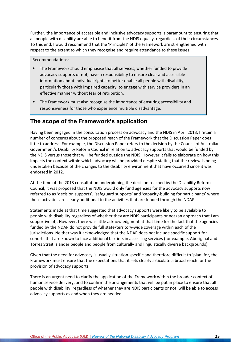Further, the importance of accessible and inclusive advocacy supports is paramount to ensuring that all people with disability are able to benefit from the NDIS equally, regardless of their circumstances. To this end, I would recommend that the 'Principles' of the Framework are strengthened with respect to the extent to which they recognise and require attendance to these issues.

Recommendations:

- The Framework should emphasise that all services, whether funded to provide advocacy supports or not, have a responsibility to ensure clear and accessible information about individual rights to better enable all people with disability, particularly those with impaired capacity, to engage with service providers in an effective manner without fear of retribution.
- The Framework must also recognise the importance of ensuring accessibility and responsiveness for those who experience multiple disadvantage.

#### **The scope of the Framework's application**

Having been engaged in the consultation process on advocacy and the NDIS in April 2013, I retain a number of concerns about the proposed reach of the Framework that the Discussion Paper does little to address. For example, the Discussion Paper refers to the decision by the Council of Australian Government's Disability Reform Council in relation to advocacy supports that would be funded by the NDIS versus those that will be funded outside the NDIS. However it fails to elaborate on how this impacts the context within which advocacy will be provided despite stating that the review is being undertaken because of the changes to the disability environment that have occurred since it was endorsed in 2012.

At the time of the 2013 consultation underpinning the decision reached by the Disability Reform Council, it was proposed that the NDIS would only fund agencies for the advocacy supports now referred to as 'decision supports', 'safeguard supports' and 'capacity-building for participants' where these activities are clearly additional to the activities that are funded through the NDAP.

Statements made at that time suggested that advocacy supports were likely to be available to people with disability regardless of whether they are NDIS participants or not (an approach that I am supportive of). However, there was little acknowledgment at that time for the fact that the agencies funded by the NDAP do not provide full state/territory-wide coverage within each of the jurisdictions. Neither was it acknowledged that the NDAP does not include specific support for cohorts that are known to face additional barriers in accessing services (for example, Aboriginal and Torres Strait Islander people and people from culturally and linguistically diverse backgrounds).

Given that the need for advocacy is usually situation-specific and therefore difficult to 'plan' for, the Framework must ensure that the expectations that it sets clearly articulate a broad reach for the provision of advocacy supports.

There is an urgent need to clarify the application of the Framework within the broader context of human service delivery, and to confirm the arrangements that will be put in place to ensure that all people with disability, regardless of whether they are NDIS participants or not, will be able to access advocacy supports as and when they are needed.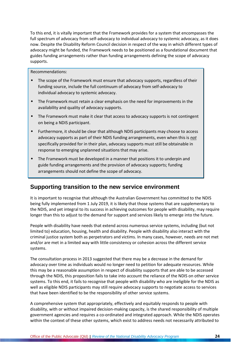To this end, it is vitally important that the Framework provides for a system that encompasses the full spectrum of advocacy from self-advocacy to individual advocacy to systemic advocacy, as it does now. Despite the Disability Reform Council decision in respect of the way in which different types of advocacy might be funded, the Framework needs to be positioned as a foundational document that guides funding arrangements rather than funding arrangements defining the scope of advocacy supports.

Recommendations:

- The scope of the Framework must ensure that advocacy supports, regardless of their funding source, include the full continuum of advocacy from self-advocacy to individual advocacy to systemic advocacy.
- The Framework must retain a clear emphasis on the need for improvements in the availability and quality of advocacy supports.
- The Framework must make it clear that access to advocacy supports is not contingent on being a NDIS participant.
- Furthermore, it should be clear that although NDIS participants may choose to access advocacy supports as part of their NDIS funding arrangements, even when this is *not* specifically provided for in their plan, advocacy supports must still be obtainable in response to emerging unplanned situations that may arise.
- The Framework must be developed in a manner that positions it to underpin and guide funding arrangements and the provision of advocacy supports; funding arrangements should not define the scope of advocacy.

### **Supporting transition to the new service environment**

It is important to recognise that although the Australian Government has committed to the NDIS being fully implemented from 1 July 2019, it is likely that those systems that are supplementary to the NDIS, and yet integral to its success in achieving outcomes for people with disability, may require longer than this to adjust to the demand for support and services likely to emerge into the future.

People with disability have needs that extend across numerous service systems, including (but not limited to) education, housing, health and disability. People with disability also interact with the criminal justice system both as perpetrators and victims. In many cases, however, needs are not met and/or are met in a limited way with little consistency or cohesion across the different service systems.

The consultation process in 2013 suggested that there may be a decrease in the demand for advocacy over time as individuals would no longer need to petition for adequate resources. While this may be a reasonable assumption in respect of disability supports that are able to be accessed through the NDIS, this proposition fails to take into account the reliance of the NDIS on other service systems. To this end, it fails to recognise that people with disability who are ineligible for the NDIS as well as eligible NDIS participants may still require advocacy supports to negotiate access to services that have been identified to be the responsibility of other service systems.

A comprehensive system that appropriately, effectively and equitably responds to people with disability, with or without impaired decision-making capacity, is the shared responsibility of multiple government agencies and requires a co-ordinated and integrated approach. While the NDIS operates within the context of these other systems, which exist to address needs not necessarily attributed to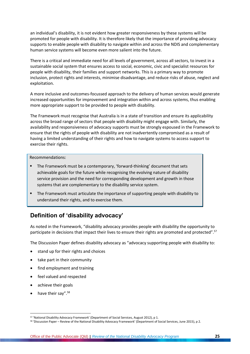an individual's disability, it is not evident how greater responsiveness by these systems will be promoted for people with disability. It is therefore likely that the importance of providing advocacy supports to enable people with disability to navigate within and across the NDIS and complementary human service systems will become even more salient into the future.

There is a critical and immediate need for all levels of government, across all sectors, to invest in a sustainable social system that ensures access to social, economic, civic and specialist resources for people with disability, their families and support networks. This is a primary way to promote inclusion, protect rights and interests, minimise disadvantage, and reduce risks of abuse, neglect and exploitation.

A more inclusive and outcomes-focussed approach to the delivery of human services would generate increased opportunities for improvement and integration within and across systems, thus enabling more appropriate support to be provided to people with disability.

The Framework must recognise that Australia is in a state of transition and ensure its applicability across the broad range of sectors that people with disability might engage with. Similarly, the availability and responsiveness of advocacy supports must be strongly espoused in the Framework to ensure that the rights of people with disability are not inadvertently compromised as a result of having a limited understanding of their rights and how to navigate systems to access support to exercise their rights.

Recommendations:

- The Framework must be a contemporary, 'forward-thinking' document that sets achievable goals for the future while recognising the evolving nature of disability service provision and the need for corresponding development and growth in those systems that are complementary to the disability service system.
- The Framework must articulate the importance of supporting people with disability to understand their rights, and to exercise them.

### **Definition of 'disability advocacy'**

As noted in the Framework, "disability advocacy provides people with disability the opportunity to participate in decisions that impact their lives to ensure their rights are promoted and protected".<sup>57</sup>

The Discussion Paper defines disability advocacy as "advocacy supporting people with disability to:

- stand up for their rights and choices
- take part in their community
- find employment and training
- feel valued and respected
- achieve their goals
- have their say".<sup>58</sup>

1

<sup>57</sup> 'National Disability Advocacy Framework' (Department of Social Services, August 2012), p 1.

<sup>58</sup> 'Discussion Paper – Review of the National Disability Advocacy Framework' (Department of Social Services, June 2015), p 2.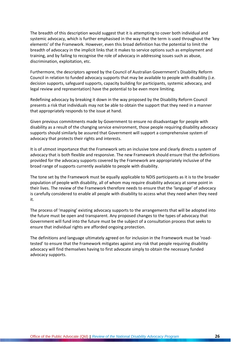The breadth of this description would suggest that it is attempting to cover both individual and systemic advocacy, which is further emphasised in the way that the term is used throughout the 'key elements' of the Framework. However, even this broad definition has the potential to limit the breadth of advocacy in the implicit links that it makes to service options such as employment and training, and by failing to recognise the role of advocacy in addressing issues such as abuse, discrimination, exploitation, etc.

Furthermore, the descriptors agreed by the Council of Australian Government's Disability Reform Council in relation to funded advocacy supports that may be available to people with disability (i.e. decision supports, safeguard supports, capacity building for participants, systemic advocacy, and legal review and representation) have the potential to be even more limiting.

Redefining advocacy by breaking it down in the way proposed by the Disability Reform Council presents a risk that individuals may not be able to obtain the support that they need in a manner that appropriately responds to the issue at hand.

Given previous commitments made by Government to ensure no disadvantage for people with disability as a result of the changing service environment, those people requiring disability advocacy supports should similarly be assured that Government will support a comprehensive system of advocacy that protects their rights and interests.

It is of utmost importance that the Framework sets an inclusive tone and clearly directs a system of advocacy that is both flexible and responsive. The new Framework should ensure that the definitions provided for the advocacy supports covered by the Framework are appropriately inclusive of the broad range of supports currently available to people with disability.

The tone set by the Framework must be equally applicable to NDIS participants as it is to the broader population of people with disability, all of whom may require disability advocacy at some point in their lives. The review of the Framework therefore needs to ensure that the 'language' of advocacy is carefully considered to enable all people with disability to access what they need when they need it.

The process of 'mapping' existing advocacy supports to the arrangements that will be adopted into the future must be open and transparent. Any proposed changes to the types of advocacy that Government will fund into the future must be the subject of a consultation process that seeks to ensure that individual rights are afforded ongoing protection.

The definitions and language ultimately agreed on for inclusion in the Framework must be 'roadtested' to ensure that the Framework mitigates against any risk that people requiring disability advocacy will find themselves having to first advocate simply to obtain the necessary funded advocacy supports.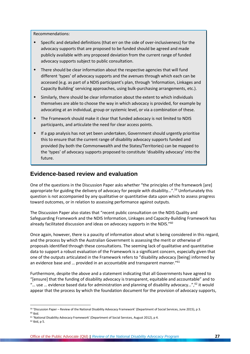Recommendations:

- Specific and detailed definitions (that err on the side of over-inclusiveness) for the advocacy supports that are proposed to be funded should be agreed and made publicly available with any proposed deviation from the current range of funded advocacy supports subject to public consultation.
- There should be clear information about the respective agencies that will fund different 'types' of advocacy supports and the avenues through which each can be accessed (e.g. as part of a NDIS participant's plan, through 'Information, Linkages and Capacity Building' servicing approaches, using bulk-purchasing arrangements, etc.).
- Similarly, there should be clear information about the extent to which individuals themselves are able to choose the way in which advocacy is provided, for example by advocating at an individual, group or systemic level, or via a combination of these.
- The Framework should make it clear that funded advocacy is not limited to NDIS participants, and articulate the need for clear access points.
- If a gap analysis has not yet been undertaken, Government should urgently prioritise this to ensure that the current range of disability advocacy supports funded and provided (by both the Commonwealth and the States/Territories) can be mapped to the 'types' of advocacy supports proposed to constitute 'disability advocacy' into the future.

#### **Evidence-based review and evaluation**

One of the questions in the Discussion Paper asks whether "the principles of the framework [are] appropriate for guiding the delivery of advocacy for people with disability...".<sup>59</sup> Unfortunately this question is not accompanied by any qualitative or quantitative data upon which to assess progress toward outcomes, or in relation to assessing performance against outputs.

The Discussion Paper also states that "recent public consultation on the NDIS Quality and Safeguarding Framework and the NDIS Information, Linkages and Capacity-Building Framework has already facilitated discussion and ideas on advocacy supports in the NDIS."<sup>60</sup>

Once again, however, there is a paucity of information about what is being considered in this regard, and the process by which the Australian Government is assessing the merit or otherwise of proposals identified through these consultations. The seeming lack of qualitative and quantitative data to support a robust evaluation of the Framework is a significant concern, especially given that one of the outputs articulated in the Framework refers to "disability advocacy [being] informed by an evidence base and ... provided in an accountable and transparent manner."<sup>61</sup>

Furthermore, despite the above and a statement indicating that all Governments have agreed to "[ensure] that the funding of disability advocacy is transparent, equitable and accountable" and to "... use ... evidence based data for administration and planning of disability advocacy...",<sup>62</sup> it would appear that the process by which the foundation document for the provision of advocacy supports,

<sup>59</sup> 'Discussion Paper – Review of the National Disability Advocacy Framework' (Department of Social Services, June 2015), p 3.

 $60$  Ibid.

<sup>61</sup> 'National Disability Advocacy Framework' (Department of Social Services, August 2012), p 4.

 $62$  Ibid, p 5.

Office of the Public Advocate (Qld) **|** *Review of the National Disability Advocacy Program* **27**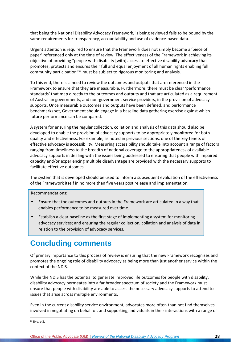that being the National Disability Advocacy Framework, is being reviewed fails to be bound by the same requirements for transparency, accountability and use of evidence-based data.

Urgent attention is required to ensure that the Framework does not simply become a 'piece of paper' referenced only at the time of review. The effectiveness of the Framework in achieving its objective of providing "people with disability [with] access to effective disability advocacy that promotes, protects and ensures their full and equal enjoyment of all human rights enabling full community participation"<sup>63</sup> must be subject to rigorous monitoring and analysis.

To this end, there is a need to review the outcomes and outputs that are referenced in the Framework to ensure that they are measurable. Furthermore, there must be clear 'performance standards' that map directly to the outcomes and outputs and that are articulated as a requirement of Australian governments, and non-government service providers, in the provision of advocacy supports. Once measurable outcomes and outputs have been defined, and performance benchmarks set, Government should engage in a baseline data gathering exercise against which future performance can be compared.

A system for ensuring the regular collection, collation and analysis of this data should also be developed to enable the provision of advocacy supports to be appropriately monitored for both quality and effectiveness. For example, as noted in previous sections, one of the key tenets of effective advocacy is accessibility. Measuring accessibility should take into account a range of factors ranging from timeliness to the breadth of national coverage to the appropriateness of available advocacy supports in dealing with the issues being addressed to ensuring that people with impaired capacity and/or experiencing multiple disadvantage are provided with the necessary supports to facilitate effective outcomes.

The system that is developed should be used to inform a subsequent evaluation of the effectiveness of the Framework itself in no more than five years post release and implementation.

Recommendations:

- Ensure that the outcomes and outputs in the Framework are articulated in a way that enables performance to be measured over time.
- Establish a clear baseline as the first stage of implementing a system for monitoring advocacy services; and ensuring the regular collection, collation and analysis of data in relation to the provision of advocacy services.

# **Concluding comments**

Of primary importance to this process of review is ensuring that the new Framework recognises and promotes the ongoing role of disability advocacy as being more than just another service within the context of the NDIS.

While the NDIS has the potential to generate improved life outcomes for people with disability, disability advocacy permeates into a far broader spectrum of society and the Framework must ensure that people with disability are able to access the necessary advocacy supports to attend to issues that arise across multiple environments.

Even in the current disability service environment, advocates more often than not find themselves involved in negotiating on behalf of, and supporting, individuals in their interactions with a range of

 $\overline{a}$ <sup>63</sup> Ibid, p 3.